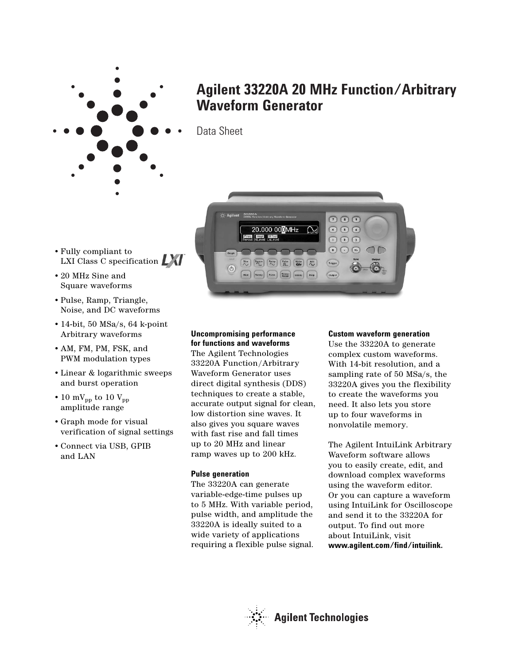

# **Agilent 33220A 20 MHz Function/Arbitrary Waveform Generator**

Data Sheet

- Fully compliant to LXI Class C specification  $\Box$
- 20 MHz Sine and Square waveforms
- Pulse, Ramp, Triangle, Noise, and DC waveforms
- 14-bit, 50 MSa/s, 64 k-point Arbitrary waveforms
- AM, FM, PM, FSK, and PWM modulation types
- Linear & logarithmic sweeps and burst operation
- 10 mV<sub>pp</sub> to 10  $V_{pp}$ amplitude range
- Graph mode for visual verification of signal settings
- Connect via USB, GPIB and LAN



# **Uncompromising performance**

**for functions and waveforms** The Agilent Technologies 33220A Function/Arbitrary Waveform Generator uses direct digital synthesis (DDS) techniques to create a stable, accurate output signal for clean, low distortion sine waves. It also gives you square waves with fast rise and fall times up to 20 MHz and linear ramp waves up to 200 kHz.

# **Pulse generation**

The 33220A can generate variable-edge-time pulses up to 5 MHz. With variable period, pulse width, and amplitude the 33220A is ideally suited to a wide variety of applications requiring a flexible pulse signal.

# **Custom waveform generation**

Use the 33220A to generate complex custom waveforms. With 14-bit resolution, and a sampling rate of 50 MSa/s, the 33220A gives you the flexibility to create the waveforms you need. It also lets you store up to four waveforms in nonvolatile memory.

The Agilent IntuiLink Arbitrary Waveform software allows you to easily create, edit, and download complex waveforms using the waveform editor. Or you can capture a waveform using IntuiLink for Oscilloscope and send it to the 33220A for output. To find out more about IntuiLink, visit **www.agilent.com/find/intuilink.**

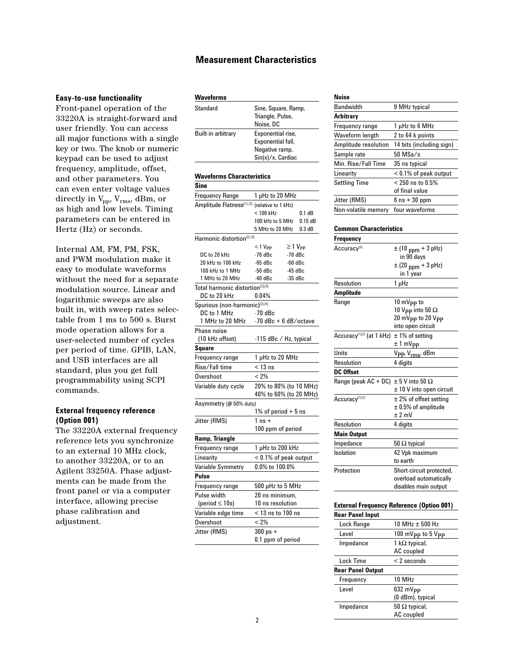# **Measurement Characteristics**

## **Easy-to-use functionality**

Front-panel operation of the 33220A is straight-forward and user friendly. You can access all major functions with a single key or two. The knob or numeric keypad can be used to adjust frequency, amplitude, offset, and other parameters. You can even enter voltage values directly in  $V_{\text{pp}}$ ,  $V_{\text{rms}}$ , dBm, or as high and low levels. Timing parameters can be entered in Hertz (Hz) or seconds.

Internal AM, FM, PM, FSK, and PWM modulation make it easy to modulate waveforms without the need for a separate modulation source. Linear and logarithmic sweeps are also built in, with sweep rates selectable from 1 ms to 500 s. Burst mode operation allows for a user-selected number of cycles per period of time. GPIB, LAN, and USB interfaces are all standard, plus you get full programmability using SCPI commands.

# **External frequency reference (Option 001)**

The 33220A external frequency reference lets you synchronize to an external 10 MHz clock, to another 33220A, or to an Agilent 33250A. Phase adjustments can be made from the front panel or via a computer interface, allowing precise phase calibration and adjustment.

# **Waveforms**

| Standard           | Sine, Square, Ramp,<br>Triangle, Pulse,<br>Noise, DC                             |
|--------------------|----------------------------------------------------------------------------------|
| Built-in arbitrary | Exponential rise,<br>Exponential fall,<br>Negative ramp,<br>$Sin(x)/x$ , Cardiac |

#### **Waveforms Characteristics**

| Sine                                                         |                                    |                   |  |
|--------------------------------------------------------------|------------------------------------|-------------------|--|
| <b>Frequency Range</b>                                       | 1 µHz to 20 MHz                    |                   |  |
| Amplitude Flatness[1].[2] (relative to 1 kHz)                |                                    |                   |  |
|                                                              | $< 100$ kHz                        | 0.1 dB            |  |
|                                                              | 100 kHz to 5 MHz                   | 0.15dB            |  |
|                                                              | 5 MHz to 20 MHz                    | 0.3 dB            |  |
| Harmonic distortion <sup>[2], [3]</sup>                      |                                    |                   |  |
|                                                              | < 1 V <sub>PP</sub>                | $\geq 1$ $V_{PP}$ |  |
| DC to 20 kHz                                                 | $-70dBc$                           | $-70dBc$          |  |
| 20 kHz to 100 kHz                                            | $-65$ dBc                          | $-60$ dBc         |  |
| 100 kHz to 1 MHz                                             | $-50$ dBc                          | $-45$ dBc         |  |
| 1 MHz to 20 MHz                                              | -40 dBc                            | $-35$ dBc         |  |
| Total harmonic distortion <sup>[2],[3]</sup><br>DC to 20 kHz |                                    |                   |  |
|                                                              | $0.04\%$                           |                   |  |
| Spurious (non-harmonic) <sup>[2],[4]</sup><br>DC to 1 MHz    |                                    |                   |  |
| 1 MHz to 20 MHz                                              | -70 dBc<br>$-70$ dBc + 6 dB/octave |                   |  |
|                                                              |                                    |                   |  |
| <b>Phase noise</b><br>(10 kHz offset)                        |                                    |                   |  |
|                                                              | -115 dBc / Hz, typical             |                   |  |
| Square                                                       |                                    |                   |  |
| Frequency range                                              | 1 µHz to 20 MHz                    |                   |  |
| Rise/Fall time                                               | $<$ 13 ns                          |                   |  |
| Overshoot                                                    | < 2%                               |                   |  |
| Variable duty cycle                                          | 20% to 80% (to 10 MHz)             |                   |  |
|                                                              | 40% to 60% (to 20 MHz)             |                   |  |
| Asymmetry (@ 50% duty)                                       |                                    |                   |  |
|                                                              | 1% of period $+5$ ns               |                   |  |
| Jitter (RMS)                                                 | $1$ ns $+$                         |                   |  |
|                                                              | 100 ppm of period                  |                   |  |
| Ramp, Triangle                                               |                                    |                   |  |
| Frequency range                                              | 1 µHz to 200 kHz                   |                   |  |
| Linearity                                                    | $< 0.1\%$ of peak output           |                   |  |
| Variable Symmetry                                            | 0.0% to 100.0%                     |                   |  |
| Pulse                                                        |                                    |                   |  |
| Frequency range                                              | 500 µHz to 5 MHz                   |                   |  |
| Pulse width                                                  | 20 ns minimum.                     |                   |  |
| (period $\leq 10$ s)                                         | 10 ns resolution                   |                   |  |
| Variable edge time                                           | $<$ 13 ns to 100 ns                |                   |  |
| Overshoot                                                    | < 2%                               |                   |  |
| Jitter (RMS)                                                 | $300$ ps $+$                       |                   |  |

# **Noise**

| .                    |                          |
|----------------------|--------------------------|
| Bandwidth            | 9 MHz typical            |
| Arbitrary            |                          |
| Frequency range      | 1 µHz to 6 MHz           |
| Waveform length      | 2 to 64 k points         |
| Amplitude resolution | 14 bits (including sign) |
| Sample rate          | $50$ MSa/s               |
| Min. Rise/Fall Time  | 35 ns typical            |
| Linearity            | $< 0.1\%$ of peak output |
| <b>Settling Time</b> | $< 250$ ns to $0.5\%$    |
|                      | of final value           |
| Jitter (RMS)         | $6$ ns $+30$ ppm         |
| Non-volatile memory  | four waveforms           |
|                      |                          |

#### **Common Characteristics**

| $\pm$ (10 ppm + 3 pHz)                                      |
|-------------------------------------------------------------|
| in 90 days                                                  |
| $\pm$ (20 <sub>ppm</sub> + 3 pHz)                           |
| in 1 year                                                   |
| 1 µHz                                                       |
|                                                             |
| 10 mV <sub>PP</sub> to                                      |
| 10 V <sub>PP</sub> into 50 $\Omega$                         |
| 20 mV <sub>PP</sub> to 20 V <sub>PP</sub>                   |
| into open circuit                                           |
| Accuracy <sup>[1][2]</sup> (at 1 kHz)<br>$± 1\%$ of setting |
| $±1$ mV <sub>PP</sub>                                       |
| V <sub>PP</sub> , V <sub>rms</sub> , dBm                    |
| 4 digits                                                    |
|                                                             |
| Range (peak AC + DC) $\pm$ 5 V into 50 $\Omega$             |
| $\pm$ 10 V into open circuit                                |
| $\pm$ 2% of offset setting                                  |
| $\pm$ 0.5% of amplitude                                     |
| $± 2$ mV                                                    |
| 4 digits                                                    |
|                                                             |
| 50 $\Omega$ typical                                         |
| 42 Vpk maximum                                              |
| to earth                                                    |
| Short-circuit protected,                                    |
| overload automatically                                      |
| disables main output                                        |
|                                                             |

## **External Frequency Reference (Option 001)**

| < i3 ns to iuu ns | <b>Rear Panel Input</b>  |                                          |
|-------------------|--------------------------|------------------------------------------|
| < 2%              | Lock Range               | 10 MHz $\pm$ 500 Hz                      |
| 300 ps +          | Level                    | 100 mVpp to 5 Vpp                        |
| 0.1 ppm of period | Impedance                | 1 k $\Omega$ typical,<br>AC coupled      |
|                   | Lock Time                | $< 2$ seconds                            |
|                   | <b>Rear Panel Output</b> |                                          |
|                   | Frequency                | 10 MHz                                   |
|                   | Level                    | $632 \text{ mVpp}$<br>$(0$ dBm), typical |
|                   | Impedance                | 50 $\Omega$ typical,<br>AC coupled       |
| 2                 |                          |                                          |

0.1 ppm of period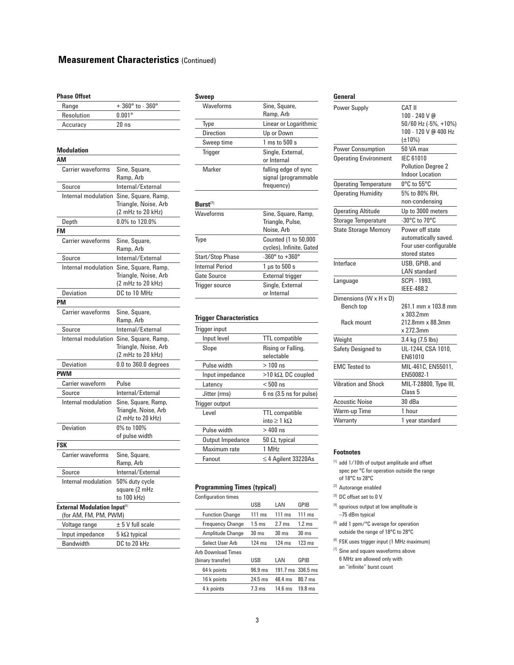# **Measurement Characteristics** (Continued)

#### **Phase Offset**

| Range      | $+360^{\circ}$ to $-360^{\circ}$ |
|------------|----------------------------------|
| Resolution | $0.001$ °                        |
| Accuracy   | 20ns                             |

#### **Modulation**

| ΑM                                                                |                                                                  |
|-------------------------------------------------------------------|------------------------------------------------------------------|
| <b>Carrier waveforms</b>                                          | Sine, Square,<br>Ramp, Arb                                       |
| Source                                                            | Internal/External                                                |
| Internal modulation                                               | Sine, Square, Ramp,<br>Triangle, Noise, Arb<br>(2 mHz to 20 kHz) |
| Depth                                                             | 0.0% to 120.0%                                                   |
| <b>FM</b>                                                         |                                                                  |
| Carrier waveforms                                                 | Sine, Square,<br>Ramp, Arb                                       |
| Source                                                            | Internal/External                                                |
| Internal modulation                                               | Sine, Square, Ramp,<br>Triangle, Noise, Arb<br>(2 mHz to 20 kHz) |
| Deviation                                                         | DC to 10 MHz                                                     |
| PM                                                                |                                                                  |
| <b>Carrier waveforms</b>                                          | Sine, Square,<br>Ramp, Arb                                       |
| Source                                                            | Internal/External                                                |
| Internal modulation                                               | Sine, Square, Ramp,<br>Triangle, Noise, Arb<br>(2 mHz to 20 kHz) |
| Deviation                                                         | $0.0$ to $360.0$ degrees                                         |
| <b>PWM</b>                                                        |                                                                  |
| <b>Carrier waveform</b>                                           | Pulse                                                            |
| Source                                                            | Internal/External                                                |
| Internal modulation                                               | Sine, Square, Ramp,<br>Triangle, Noise, Arb<br>(2 mHz to 20 kHz) |
| Deviation                                                         | 0% to 100%<br>of pulse width                                     |
| FSK                                                               |                                                                  |
| <b>Carrier waveforms</b>                                          | Sine, Square,<br>Ramp, Arb                                       |
| Source                                                            | Internal/External                                                |
| Internal modulation                                               | 50% duty cycle<br>square (2 mHz<br>to 100 kHz)                   |
| External Modulation Input <sup>(6)</sup><br>(for AM, FM, PM, PWM) |                                                                  |
| Voltage range                                                     | $± 5$ V full scale                                               |
| Input impedance                                                   | 5 k $\Omega$ typical                                             |
| <b>Bandwidth</b>                                                  | DC to 20 kHz                                                     |

## **Sweep**

| Waveforms              | Sine, Square,                                              |
|------------------------|------------------------------------------------------------|
|                        | Ramp, Arb                                                  |
| Type                   | Linear or Logarithmic                                      |
| Direction              | Up or Down                                                 |
| Sweep time             | 1 ms to 500 s                                              |
| <b>Trigger</b>         | Single, External,<br>or Internal                           |
| Marker                 | falling edge of sync<br>signal (programmable<br>frequency) |
| $Burst^{[7]}$          |                                                            |
| Waveforms              | Sine, Square, Ramp,<br>Triangle, Pulse,<br>Noise, Arb      |
| Type                   | Counted (1 to 50,000<br>cycles), Infinite, Gated           |
| Start/Stop Phase       | $-360^{\circ}$ to $+360^{\circ}$                           |
| <b>Internal Period</b> | $1 \mu s$ to $500 s$                                       |
| Gate Source            | External trigger                                           |
| Trigger source         |                                                            |
|                        | Single, External<br>or Internal                            |

## **Trigger Characteristics**

| <b>Trigger input</b> |                                                   |
|----------------------|---------------------------------------------------|
| Input level          | <b>TTL</b> compatible                             |
| Slope                | Rising or Falling,<br>selectable                  |
| Pulse width          | $>100$ ns                                         |
| Input impedance      | $>10$ k $\Omega$ , DC coupled                     |
| Latency              | $< 500$ ns                                        |
| Jitter (rms)         | $6$ ns $(3.5$ ns for pulse)                       |
| Trigger output       |                                                   |
| l evel               | <b>TTL</b> compatible<br>into $\geq 1$ k $\Omega$ |
| Pulse width          | > 400 ns                                          |
| Output Impedance     | 50 $\Omega$ , typical                             |
| Maximum rate         | 1 MHz                                             |
| Fanout               | $\leq$ 4 Agilent 33220As                          |

#### **Programming Times (typical)**

| <b>Configuration times</b> |                   |                  |                             |
|----------------------------|-------------------|------------------|-----------------------------|
|                            | USB               | LAN              | GPIB                        |
| <b>Function Change</b>     | $111 \text{ ms}$  | $111 \text{ ms}$ | $111 \text{ ms}$            |
| <b>Frequency Change</b>    | $1.5 \text{ ms}$  | $27$ ms          | $12 \text{ ms}$             |
| Amplitude Change           | 30 <sub>ms</sub>  | 30 <sub>ms</sub> | 30 <sub>ms</sub>            |
| Select User Arb            | $124$ ms          | $124$ ms         | $123 \text{ ms}$            |
| <b>Arb Download Times</b>  |                   |                  |                             |
| (binary transfer)          | USB               | LAN              | GPIB                        |
| 64 k points                | $96.9 \text{ ms}$ |                  | $191.7 \text{ ms}$ 336.5 ms |
| 16 k points                | $24.5$ ms         | 48.4 ms          | $80.7$ ms                   |
| 4 k points                 | $7.3 \text{ ms}$  | 14 ճ ms          | 19.8 <sub>ms</sub>          |

### **General** Power Supply CAT II 100 - 240 V @ 50/60 Hz (-5%, +10%) 100 - 120 V @ 400 Hz (±10%) Power Consumption 50 VA max Operating Environment IEC 61010 Pollution Degree 2 Indoor Location Operating Temperature 0°C to 55°C Operating Humidity 5% to 80% RH, non-condensing Operating Altitude Up to 3000 meters Storage Temperature -30°C to 70°C State Storage Memory Power off state automatically saved. Four user-configurable stored states Interface USB, GPIB, and LAN standard Language SCPI - 1993, IEEE-488.2 Dimensions (W x H x D) 261.1 mm x 103.8 mm x 303.2mm Rack mount 212.8mm x 88.3mm x 272.3mm Weight 3.4 kg (7.5 lbs) Safety Designed to UL-1244, CSA 1010, EN61010 EMC Tested to MIL-461C, EN55011, EN50082-1 Vibration and Shock MIL-T-28800, Type III, Class 5 Acoustic Noise 30 dBa Warm-up Time 1 hour Warranty 1 year standard

#### **Footnotes**

- $^{[1]}$  add  $1/10$ th of output amplitude and offset spec per °C for operation outside the range of 18°C to 28°C
- [2] Autorange enabled
- [3] DC offset set to 0 V
- $^{[4]}$  spurious output at low amplitude is –75 dBm typical
- [5] add 1 ppm/°C average for operation outside the range of 18°C to 28°C
- [6] FSK uses trigger input (1 MHz maximum)
- [7] Sine and square waveforms above
	- 6 MHz are allowed only with
	- an "infinite" burst count